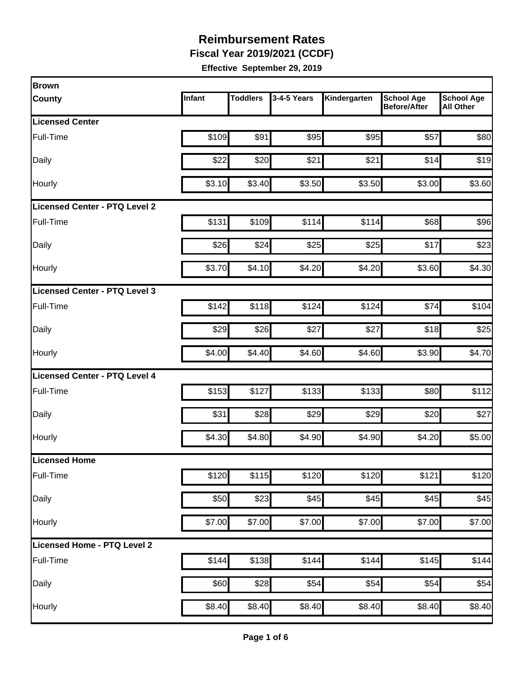**Fiscal Year 2019/2021 (CCDF)**

| <b>Brown</b>                  |        |                 |             |              |                                          |                                       |
|-------------------------------|--------|-----------------|-------------|--------------|------------------------------------------|---------------------------------------|
| <b>County</b>                 | Infant | <b>Toddlers</b> | 3-4-5 Years | Kindergarten | <b>School Age</b><br><b>Before/After</b> | <b>School Age</b><br><b>All Other</b> |
| <b>Licensed Center</b>        |        |                 |             |              |                                          |                                       |
| Full-Time                     | \$109  | \$91            | \$95        | \$95         | \$57                                     | \$80                                  |
| Daily                         | \$22   | \$20            | \$21        | \$21         | \$14                                     | \$19                                  |
| Hourly                        | \$3.10 | \$3.40          | \$3.50      | \$3.50       | \$3.00                                   | \$3.60                                |
| Licensed Center - PTQ Level 2 |        |                 |             |              |                                          |                                       |
| Full-Time                     | \$131  | \$109           | \$114       | \$114        | \$68                                     | \$96                                  |
| Daily                         | \$26   | \$24            | \$25        | \$25         | \$17                                     | \$23                                  |
| Hourly                        | \$3.70 | \$4.10          | \$4.20      | \$4.20       | \$3.60                                   | \$4.30                                |
| Licensed Center - PTQ Level 3 |        |                 |             |              |                                          |                                       |
| Full-Time                     | \$142  | \$118           | \$124       | \$124        | \$74                                     | \$104                                 |
| Daily                         | \$29   | \$26            | \$27        | \$27         | \$18                                     | \$25                                  |
| Hourly                        | \$4.00 | \$4.40          | \$4.60      | \$4.60       | \$3.90                                   | \$4.70                                |
| Licensed Center - PTQ Level 4 |        |                 |             |              |                                          |                                       |
| Full-Time                     | \$153  | \$127           | \$133       | \$133        | \$80                                     | \$112                                 |
| Daily                         | \$31   | \$28            | \$29        | \$29         | \$20                                     | \$27                                  |
| Hourly                        | \$4.30 | \$4.80          | \$4.90      | \$4.90       | \$4.20                                   | \$5.00                                |
| <b>Licensed Home</b>          |        |                 |             |              |                                          |                                       |
| Full-Time                     | \$120  | \$115           | \$120       | \$120        | \$121                                    | \$120                                 |
| Daily                         | \$50   | \$23            | \$45        | \$45         | \$45                                     | \$45                                  |
| Hourly                        | \$7.00 | \$7.00          | \$7.00      | \$7.00       | \$7.00                                   | \$7.00                                |
| Licensed Home - PTQ Level 2   |        |                 |             |              |                                          |                                       |
| Full-Time                     | \$144  | \$138           | \$144       | \$144        | \$145                                    | \$144                                 |
| Daily                         | \$60   | \$28            | \$54        | \$54         | \$54                                     | \$54                                  |
| Hourly                        | \$8.40 | \$8.40          | \$8.40      | \$8.40       | \$8.40                                   | \$8.40                                |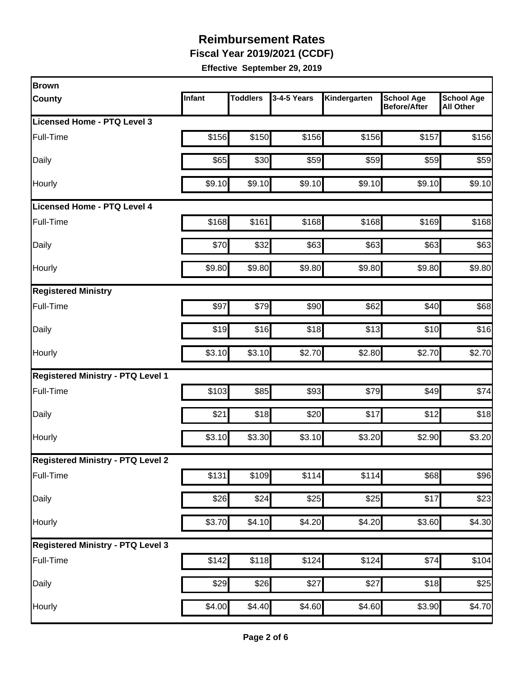**Fiscal Year 2019/2021 (CCDF)**

| <b>Brown</b>                             |        |                 |             |              |                                          |                                       |
|------------------------------------------|--------|-----------------|-------------|--------------|------------------------------------------|---------------------------------------|
| <b>County</b>                            | Infant | <b>Toddlers</b> | 3-4-5 Years | Kindergarten | <b>School Age</b><br><b>Before/After</b> | <b>School Age</b><br><b>All Other</b> |
| Licensed Home - PTQ Level 3              |        |                 |             |              |                                          |                                       |
| Full-Time                                | \$156  | \$150           | \$156       | \$156        | \$157                                    | \$156                                 |
| Daily                                    | \$65   | \$30            | \$59        | \$59         | \$59                                     | \$59                                  |
| Hourly                                   | \$9.10 | \$9.10          | \$9.10      | \$9.10       | \$9.10                                   | \$9.10                                |
| <b>Licensed Home - PTQ Level 4</b>       |        |                 |             |              |                                          |                                       |
| Full-Time                                | \$168  | \$161           | \$168       | \$168        | \$169                                    | \$168                                 |
| Daily                                    | \$70   | \$32            | \$63        | \$63         | \$63                                     | \$63                                  |
| Hourly                                   | \$9.80 | \$9.80          | \$9.80      | \$9.80       | \$9.80                                   | \$9.80                                |
| <b>Registered Ministry</b>               |        |                 |             |              |                                          |                                       |
| Full-Time                                | \$97   | \$79            | \$90        | \$62         | \$40                                     | \$68                                  |
| Daily                                    | \$19   | \$16            | \$18        | \$13         | \$10                                     | \$16                                  |
| Hourly                                   | \$3.10 | \$3.10          | \$2.70      | \$2.80       | \$2.70                                   | \$2.70                                |
| <b>Registered Ministry - PTQ Level 1</b> |        |                 |             |              |                                          |                                       |
| Full-Time                                | \$103  | \$85            | \$93        | \$79         | \$49                                     | \$74                                  |
| Daily                                    | \$21   | \$18            | \$20        | \$17         | \$12                                     | \$18                                  |
| Hourly                                   | \$3.10 | \$3.30          | \$3.10      | \$3.20       | \$2.90                                   | \$3.20                                |
| <b>Registered Ministry - PTQ Level 2</b> |        |                 |             |              |                                          |                                       |
| Full-Time                                | \$131  | \$109           | \$114       | \$114        | \$68                                     | \$96                                  |
| Daily                                    | \$26   | \$24            | \$25        | \$25         | \$17                                     | \$23                                  |
| Hourly                                   | \$3.70 | \$4.10          | \$4.20      | \$4.20       | \$3.60                                   | \$4.30                                |
| <b>Registered Ministry - PTQ Level 3</b> |        |                 |             |              |                                          |                                       |
| Full-Time                                | \$142  | \$118           | \$124       | \$124        | \$74                                     | \$104                                 |
| Daily                                    | \$29   | \$26            | \$27        | \$27         | \$18                                     | \$25                                  |
| Hourly                                   | \$4.00 | \$4.40          | \$4.60      | \$4.60       | \$3.90                                   | \$4.70                                |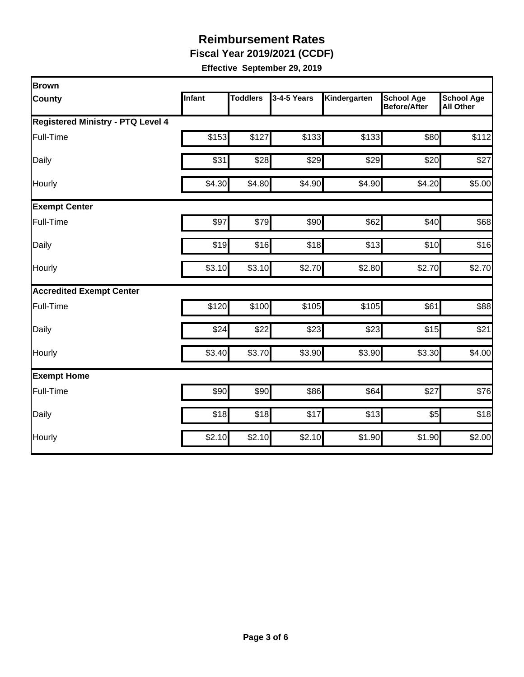**Fiscal Year 2019/2021 (CCDF)**

| Brown                                    |        |                 |             |              |                                          |                                       |  |  |  |
|------------------------------------------|--------|-----------------|-------------|--------------|------------------------------------------|---------------------------------------|--|--|--|
| <b>County</b>                            | Infant | <b>Toddlers</b> | 3-4-5 Years | Kindergarten | <b>School Age</b><br><b>Before/After</b> | <b>School Age</b><br><b>All Other</b> |  |  |  |
| <b>Registered Ministry - PTQ Level 4</b> |        |                 |             |              |                                          |                                       |  |  |  |
| Full-Time                                | \$153  | \$127           | \$133       | \$133        | \$80                                     | \$112                                 |  |  |  |
| Daily                                    | \$31   | \$28            | \$29        | \$29         | \$20                                     | \$27                                  |  |  |  |
| Hourly                                   | \$4.30 | \$4.80          | \$4.90      | \$4.90       | \$4.20                                   | \$5.00                                |  |  |  |
| <b>Exempt Center</b>                     |        |                 |             |              |                                          |                                       |  |  |  |
| Full-Time                                | \$97   | \$79            | \$90        | \$62         | \$40                                     | \$68                                  |  |  |  |
| Daily                                    | \$19   | \$16            | \$18        | \$13         | \$10                                     | \$16                                  |  |  |  |
| Hourly                                   | \$3.10 | \$3.10          | \$2.70      | \$2.80       | \$2.70                                   | \$2.70                                |  |  |  |
| <b>Accredited Exempt Center</b>          |        |                 |             |              |                                          |                                       |  |  |  |
| Full-Time                                | \$120  | \$100           | \$105       | \$105        | \$61                                     | \$88                                  |  |  |  |
| Daily                                    | \$24   | \$22            | \$23        | \$23         | \$15                                     | \$21                                  |  |  |  |
| Hourly                                   | \$3.40 | \$3.70          | \$3.90      | \$3.90       | \$3.30                                   | \$4.00                                |  |  |  |
| <b>Exempt Home</b>                       |        |                 |             |              |                                          |                                       |  |  |  |
| Full-Time                                | \$90   | \$90            | \$86        | \$64         | \$27                                     | \$76                                  |  |  |  |
| Daily                                    | \$18   | \$18            | \$17        | \$13         | \$5                                      | \$18                                  |  |  |  |
| Hourly                                   | \$2.10 | \$2.10          | \$2.10      | \$1.90       | \$1.90                                   | \$2.00                                |  |  |  |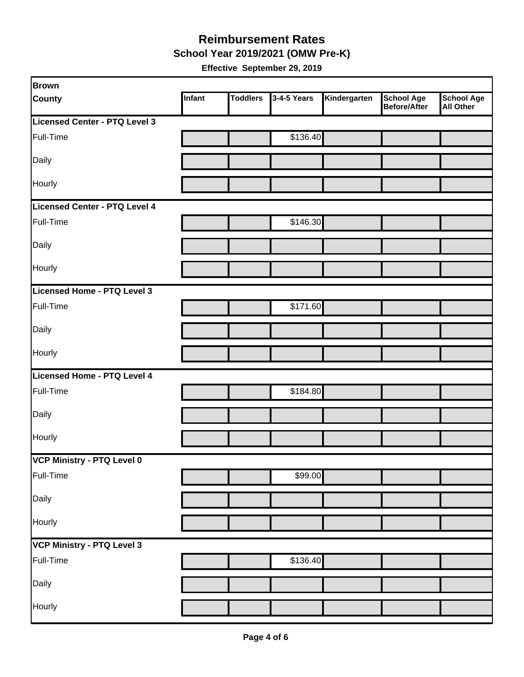**School Year 2019/2021 (OMW Pre-K)**

| Brown                         |        |                 |             |              |                                   |                         |
|-------------------------------|--------|-----------------|-------------|--------------|-----------------------------------|-------------------------|
| <b>County</b>                 | Infant | <b>Toddlers</b> | 3-4-5 Years | Kindergarten | <b>School Age</b><br>Before/After | School Age<br>All Other |
| Licensed Center - PTQ Level 3 |        |                 |             |              |                                   |                         |
| Full-Time                     |        |                 | \$136.40    |              |                                   |                         |
| Daily                         |        |                 |             |              |                                   |                         |
| Hourly                        |        |                 |             |              |                                   |                         |
| Licensed Center - PTQ Level 4 |        |                 |             |              |                                   |                         |
| Full-Time                     |        |                 | \$146.30    |              |                                   |                         |
| Daily                         |        |                 |             |              |                                   |                         |
| Hourly                        |        |                 |             |              |                                   |                         |
| Licensed Home - PTQ Level 3   |        |                 |             |              |                                   |                         |
| Full-Time                     |        |                 | \$171.60    |              |                                   |                         |
| Daily                         |        |                 |             |              |                                   |                         |
| Hourly                        |        |                 |             |              |                                   |                         |
| Licensed Home - PTQ Level 4   |        |                 |             |              |                                   |                         |
| Full-Time                     |        |                 | \$184.80    |              |                                   |                         |
| Daily                         |        |                 |             |              |                                   |                         |
| Hourly                        |        |                 |             |              |                                   |                         |
| VCP Ministry - PTQ Level 0    |        |                 |             |              |                                   |                         |
| Full-Time                     |        |                 | \$99.00     |              |                                   |                         |
| Daily                         |        |                 |             |              |                                   |                         |
| Hourly                        |        |                 |             |              |                                   |                         |
| VCP Ministry - PTQ Level 3    |        |                 |             |              |                                   |                         |
| Full-Time                     |        |                 | \$136.40    |              |                                   |                         |
| Daily                         |        |                 |             |              |                                   |                         |
| Hourly                        |        |                 |             |              |                                   |                         |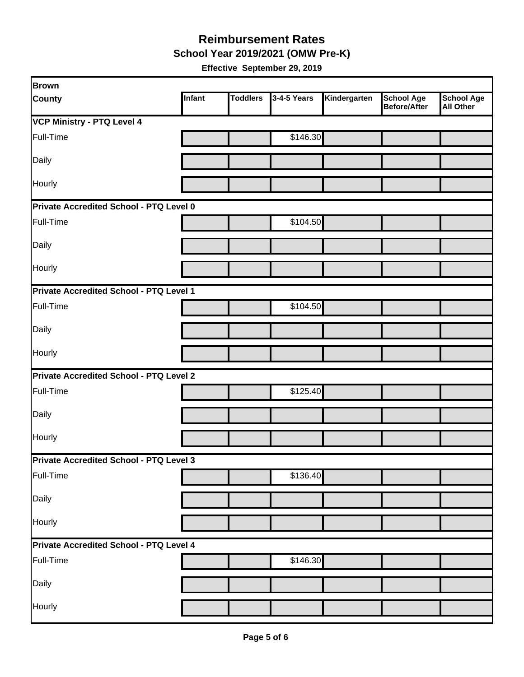**School Year 2019/2021 (OMW Pre-K)**

| Brown                                   |        |                 |             |              |                                          |                                       |
|-----------------------------------------|--------|-----------------|-------------|--------------|------------------------------------------|---------------------------------------|
| <b>County</b>                           | Infant | <b>Toddlers</b> | 3-4-5 Years | Kindergarten | <b>School Age</b><br><b>Before/After</b> | <b>School Age</b><br><b>All Other</b> |
| <b>VCP Ministry - PTQ Level 4</b>       |        |                 |             |              |                                          |                                       |
| Full-Time                               |        |                 | \$146.30    |              |                                          |                                       |
| Daily                                   |        |                 |             |              |                                          |                                       |
| Hourly                                  |        |                 |             |              |                                          |                                       |
| Private Accredited School - PTQ Level 0 |        |                 |             |              |                                          |                                       |
| Full-Time                               |        |                 | \$104.50    |              |                                          |                                       |
| Daily                                   |        |                 |             |              |                                          |                                       |
| Hourly                                  |        |                 |             |              |                                          |                                       |
| Private Accredited School - PTQ Level 1 |        |                 |             |              |                                          |                                       |
| Full-Time                               |        |                 | \$104.50    |              |                                          |                                       |
| Daily                                   |        |                 |             |              |                                          |                                       |
| Hourly                                  |        |                 |             |              |                                          |                                       |
| Private Accredited School - PTQ Level 2 |        |                 |             |              |                                          |                                       |
| Full-Time                               |        |                 | \$125.40    |              |                                          |                                       |
| Daily                                   |        |                 |             |              |                                          |                                       |
| Hourly                                  |        |                 |             |              |                                          |                                       |
| Private Accredited School - PTQ Level 3 |        |                 |             |              |                                          |                                       |
| Full-Time                               |        |                 | \$136.40    |              |                                          |                                       |
| Daily                                   |        |                 |             |              |                                          |                                       |
| Hourly                                  |        |                 |             |              |                                          |                                       |
| Private Accredited School - PTQ Level 4 |        |                 |             |              |                                          |                                       |
| Full-Time                               |        |                 | \$146.30    |              |                                          |                                       |
| Daily                                   |        |                 |             |              |                                          |                                       |
| Hourly                                  |        |                 |             |              |                                          |                                       |